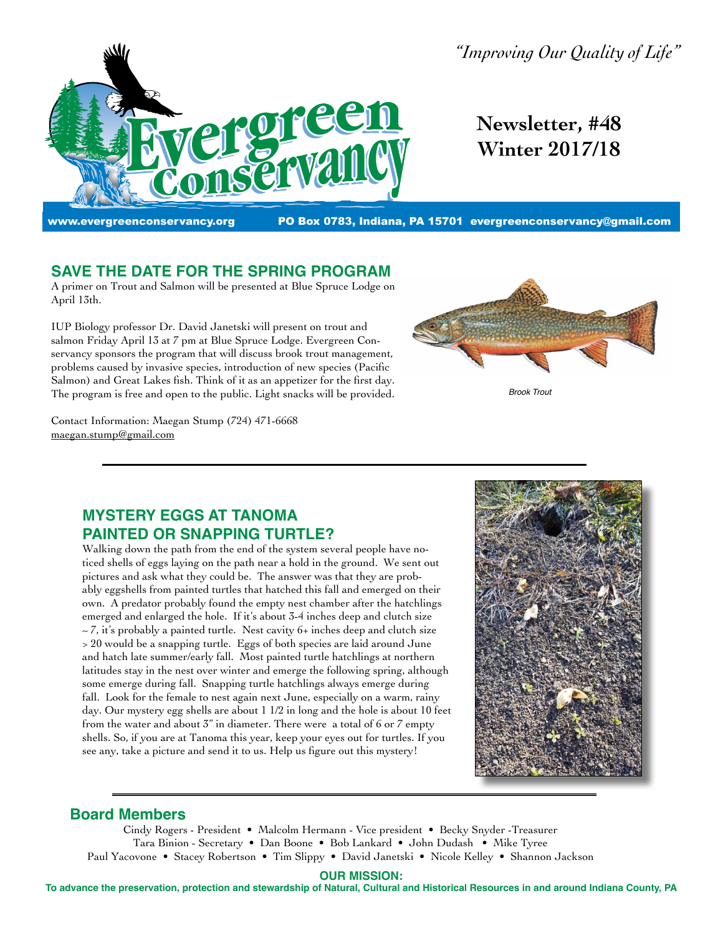

*"Improving Our Quality of Life"*

**Newsletter, #48 Winter 2017/18**

www.evergreenconservancy.org PO Box 0783, Indiana, PA 15701 evergreenconservancy@gmail.com

# **SAVE THE DATE FOR THE SPRING PROGRAM**

A primer on Trout and Salmon will be presented at Blue Spruce Lodge on April 13th.

IUP Biology professor Dr. David Janetski will present on trout and salmon Friday April 13 at 7 pm at Blue Spruce Lodge. Evergreen Conservancy sponsors the program that will discuss brook trout management, problems caused by invasive species, introduction of new species (Pacific Salmon) and Great Lakes fish. Think of it as an appetizer for the first day. The program is free and open to the public. Light snacks will be provided.

Contact Information: Maegan Stump (724) 471-6668 maegan.stump@gmail.com



*Brook Trout*

# **MYSTERY EGGS AT TANOMA PAINTED OR SNAPPING TURTLE?**

Walking down the path from the end of the system several people have noticed shells of eggs laying on the path near a hold in the ground. We sent out pictures and ask what they could be. The answer was that they are probably eggshells from painted turtles that hatched this fall and emerged on their own. A predator probably found the empty nest chamber after the hatchlings emerged and enlarged the hole. If it's about 3-4 inches deep and clutch size  $\sim$  7, it's probably a painted turtle. Nest cavity 6+ inches deep and clutch size > 20 would be a snapping turtle. Eggs of both species are laid around June and hatch late summer/early fall. Most painted turtle hatchlings at northern latitudes stay in the nest over winter and emerge the following spring, although some emerge during fall. Snapping turtle hatchlings always emerge during fall. Look for the female to nest again next June, especially on a warm, rainy day. Our mystery egg shells are about 1 1/2 in long and the hole is about 10 feet from the water and about 3" in diameter. There were a total of 6 or 7 empty shells. So, if you are at Tanoma this year, keep your eyes out for turtles. If you see any, take a picture and send it to us. Help us figure out this mystery!



#### **Board Members**

Cindy Rogers - President • Malcolm Hermann - Vice president • Becky Snyder -Treasurer Tara Binion - Secretary • Dan Boone • Bob Lankard • John Dudash • Mike Tyree Paul Yacovone • Stacey Robertson • Tim Slippy • David Janetski • Nicole Kelley • Shannon Jackson

**OUR MISSION:**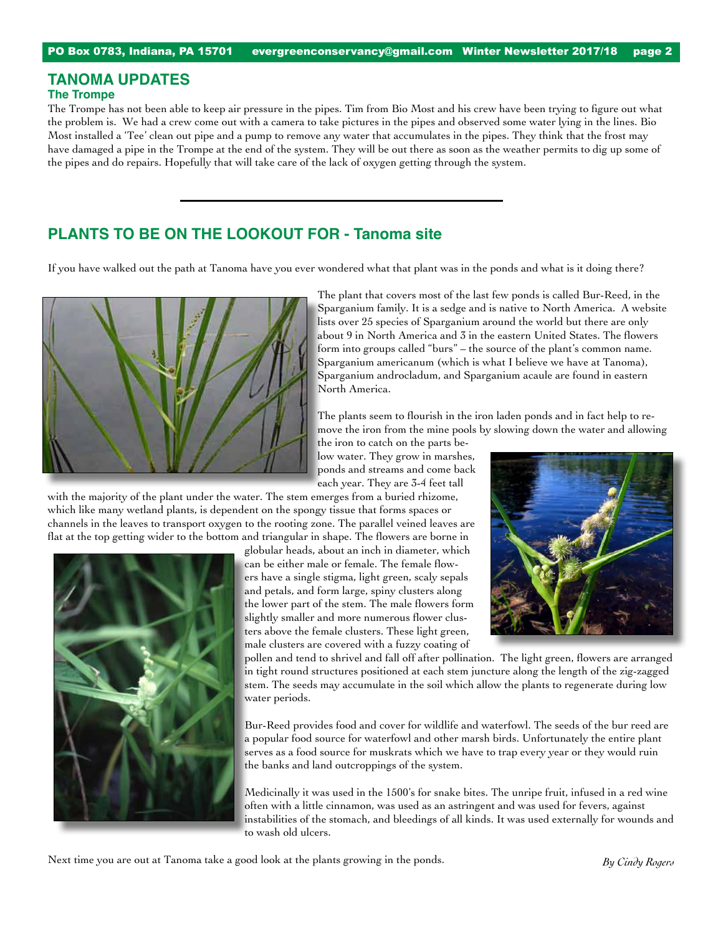# **TANOMA UPDATES**

#### **The Trompe**

The Trompe has not been able to keep air pressure in the pipes. Tim from Bio Most and his crew have been trying to figure out what the problem is. We had a crew come out with a camera to take pictures in the pipes and observed some water lying in the lines. Bio Most installed a 'Tee' clean out pipe and a pump to remove any water that accumulates in the pipes. They think that the frost may have damaged a pipe in the Trompe at the end of the system. They will be out there as soon as the weather permits to dig up some of the pipes and do repairs. Hopefully that will take care of the lack of oxygen getting through the system.

### **PLANTS TO BE ON THE LOOKOUT FOR - Tanoma site**

If you have walked out the path at Tanoma have you ever wondered what that plant was in the ponds and what is it doing there?



The plant that covers most of the last few ponds is called Bur-Reed, in the Sparganium family. It is a sedge and is native to North America. A website lists over 25 species of Sparganium around the world but there are only about 9 in North America and 3 in the eastern United States. The flowers form into groups called "burs" – the source of the plant's common name. Sparganium americanum (which is what I believe we have at Tanoma), Sparganium androcladum, and Sparganium acaule are found in eastern North America.

The plants seem to flourish in the iron laden ponds and in fact help to remove the iron from the mine pools by slowing down the water and allowing

the iron to catch on the parts below water. They grow in marshes, ponds and streams and come back each year. They are 3-4 feet tall

with the majority of the plant under the water. The stem emerges from a buried rhizome, which like many wetland plants, is dependent on the spongy tissue that forms spaces or channels in the leaves to transport oxygen to the rooting zone. The parallel veined leaves are flat at the top getting wider to the bottom and triangular in shape. The flowers are borne in



globular heads, about an inch in diameter, which can be either male or female. The female flowers have a single stigma, light green, scaly sepals and petals, and form large, spiny clusters along the lower part of the stem. The male flowers form slightly smaller and more numerous flower clusters above the female clusters. These light green, male clusters are covered with a fuzzy coating of



pollen and tend to shrivel and fall off after pollination. The light green, flowers are arranged in tight round structures positioned at each stem juncture along the length of the zig-zagged stem. The seeds may accumulate in the soil which allow the plants to regenerate during low water periods.

Bur-Reed provides food and cover for wildlife and waterfowl. The seeds of the bur reed are a popular food source for waterfowl and other marsh birds. Unfortunately the entire plant serves as a food source for muskrats which we have to trap every year or they would ruin the banks and land outcroppings of the system.

Medicinally it was used in the 1500's for snake bites. The unripe fruit, infused in a red wine often with a little cinnamon, was used as an astringent and was used for fevers, against instabilities of the stomach, and bleedings of all kinds. It was used externally for wounds and to wash old ulcers.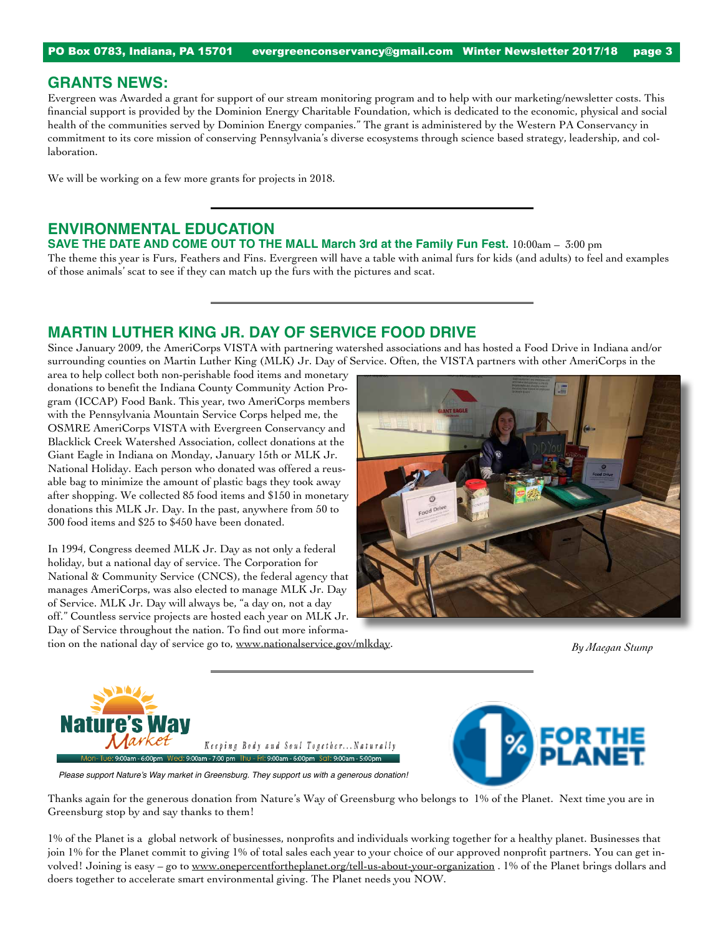#### **GRANTS NEWS:**

Evergreen was Awarded a grant for support of our stream monitoring program and to help with our marketing/newsletter costs. This financial support is provided by the Dominion Energy Charitable Foundation, which is dedicated to the economic, physical and social health of the communities served by Dominion Energy companies." The grant is administered by the Western PA Conservancy in commitment to its core mission of conserving Pennsylvania's diverse ecosystems through science based strategy, leadership, and collaboration.

We will be working on a few more grants for projects in 2018.

### **ENVIRONMENTAL EDUCATION**

**SAVE THE DATE AND COME OUT TO THE MALL March 3rd at the Family Fun Fest.** 10:00am – 3:00 pm

The theme this year is Furs, Feathers and Fins. Evergreen will have a table with animal furs for kids (and adults) to feel and examples of those animals' scat to see if they can match up the furs with the pictures and scat.

### **MARTIN LUTHER KING JR. DAY OF SERVICE FOOD DRIVE**

Since January 2009, the AmeriCorps VISTA with partnering watershed associations and has hosted a Food Drive in Indiana and/or surrounding counties on Martin Luther King (MLK) Jr. Day of Service. Often, the VISTA partners with other AmeriCorps in the

area to help collect both non-perishable food items and monetary donations to benefit the Indiana County Community Action Program (ICCAP) Food Bank. This year, two AmeriCorps members with the Pennsylvania Mountain Service Corps helped me, the OSMRE AmeriCorps VISTA with Evergreen Conservancy and Blacklick Creek Watershed Association, collect donations at the Giant Eagle in Indiana on Monday, January 15th or MLK Jr. National Holiday. Each person who donated was offered a reusable bag to minimize the amount of plastic bags they took away after shopping. We collected 85 food items and \$150 in monetary donations this MLK Jr. Day. In the past, anywhere from 50 to 300 food items and \$25 to \$450 have been donated.

In 1994, Congress deemed MLK Jr. Day as not only a federal holiday, but a national day of service. The Corporation for National & Community Service (CNCS), the federal agency that manages AmeriCorps, was also elected to manage MLK Jr. Day of Service. MLK Jr. Day will always be, "a day on, not a day off." Countless service projects are hosted each year on MLK Jr. Day of Service throughout the nation. To find out more information on the national day of service go to, www.nationalservice.gov/mlkday.



*By Maegan Stump*





Please support Nature's Way market in Greensburg. They support us with a generous donation!

Thanks again for the generous donation from Nature's Way of Greensburg who belongs to 1% of the Planet. Next time you are in Greensburg stop by and say thanks to them!

1% of the Planet is a global network of businesses, nonprofits and individuals working together for a healthy planet. Businesses that join 1% for the Planet commit to giving 1% of total sales each year to your choice of our approved nonprofit partners. You can get involved! Joining is easy – go to www.onepercentfortheplanet.org/tell-us-about-your-organization . 1% of the Planet brings dollars and doers together to accelerate smart environmental giving. The Planet needs you NOW.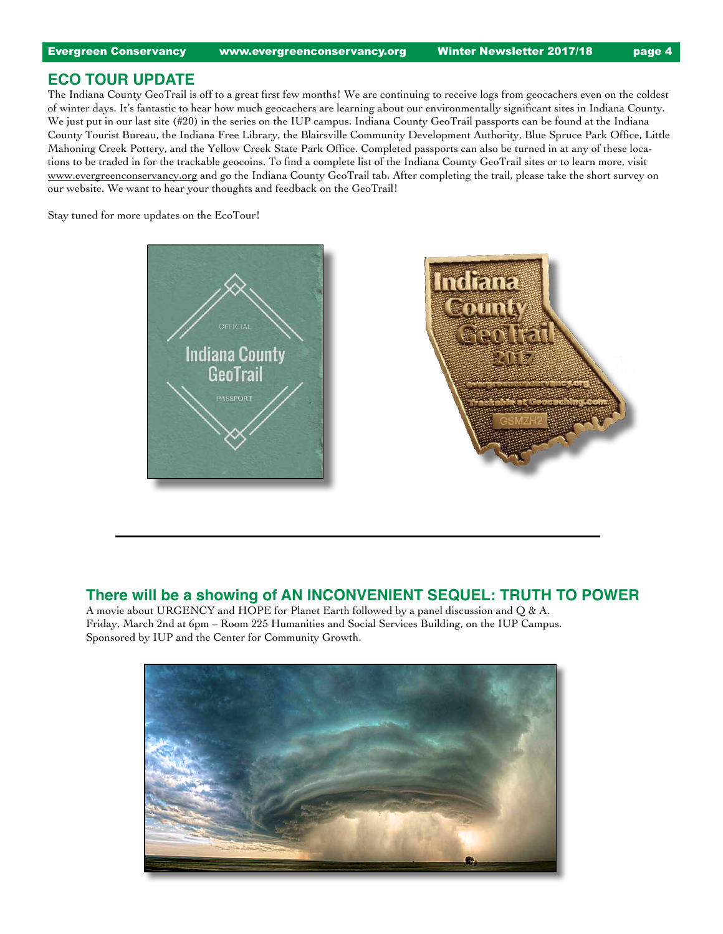#### **Eco Tour Update**

The Indiana County GeoTrail is off to a great first few months! We are continuing to receive logs from geocachers even on the coldest of winter days. It's fantastic to hear how much geocachers are learning about our environmentally significant sites in Indiana County. We just put in our last site (#20) in the series on the IUP campus. Indiana County GeoTrail passports can be found at the Indiana County Tourist Bureau, the Indiana Free Library, the Blairsville Community Development Authority, Blue Spruce Park Office, Little Mahoning Creek Pottery, and the Yellow Creek State Park Office. Completed passports can also be turned in at any of these locations to be traded in for the trackable geocoins. To find a complete list of the Indiana County GeoTrail sites or to learn more, visit www.evergreenconservancy.org and go the Indiana County GeoTrail tab. After completing the trail, please take the short survey on our website. We want to hear your thoughts and feedback on the GeoTrail!

Stay tuned for more updates on the EcoTour!



#### **There will be a showing of AN INCONVENIENT SEQUEL: TRUTH TO POWER**

A movie about URGENCY and HOPE for Planet Earth followed by a panel discussion and Q & A. Friday, March 2nd at 6pm – Room 225 Humanities and Social Services Building, on the IUP Campus. Sponsored by IUP and the Center for Community Growth.

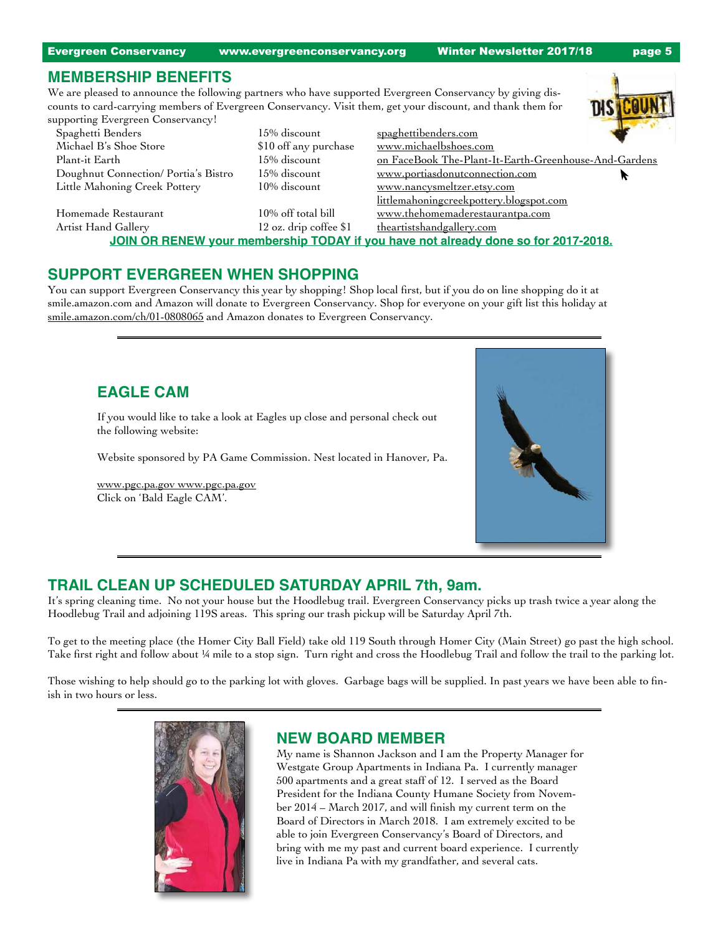Evergreen Conservancy www.evergreenconservancy.org Winter Newsletter 2017/18 page 5

### **Membership Benefits**

We are pleased to announce the following partners who have supported Evergreen Conservancy by giving discounts to card-carrying members of Evergreen Conservancy. Visit them, get your discount, and thank them for supporting Evergreen Conservancy!

| supporting Evergreen Conservancy:   |                          |                                                                                    |  |
|-------------------------------------|--------------------------|------------------------------------------------------------------------------------|--|
| Spaghetti Benders                   | 15% discount             | spaghettibenders.com                                                               |  |
| Michael B's Shoe Store              | \$10 off any purchase    | www.michaelbshoes.com                                                              |  |
| Plant-it Earth                      | 15% discount             | on FaceBook The-Plant-It-Earth-Greenhouse-And-Gardens                              |  |
| Doughnut Connection/Portia's Bistro | 15% discount             | www.portiasdonutconnection.com                                                     |  |
| Little Mahoning Creek Pottery       | 10% discount             | www.nancysmeltzer.etsy.com                                                         |  |
|                                     |                          | littlemahoningcreekpottery.blogspot.com                                            |  |
| Homemade Restaurant                 | 10% off total bill       | www.thehomemaderestaurantpa.com                                                    |  |
| Artist Hand Gallery                 | $12$ oz. drip coffee \$1 | theartistshandgallery.com                                                          |  |
|                                     |                          | JOIN OR RENEW your membership TODAY if you have not already done so for 2017-2018. |  |
|                                     |                          |                                                                                    |  |

### **Support Evergreen when Shopping**

You can support Evergreen Conservancy this year by shopping! Shop local first, but if you do on line shopping do it at smile.amazon.com and Amazon will donate to Evergreen Conservancy. Shop for everyone on your gift list this holiday at smile.amazon.com/ch/01-0808065 and Amazon donates to Evergreen Conservancy.

# **Eagle Cam**

If you would like to take a look at Eagles up close and personal check out the following website:

Website sponsored by PA Game Commission. Nest located in Hanover, Pa.

www.pgc.pa.gov www.pgc.pa.gov Click on 'Bald Eagle CAM'.



# **TRAIL CLEAN UP SCHEDULED SATURDAY APRIL 7th, 9am.**

It's spring cleaning time. No not your house but the Hoodlebug trail. Evergreen Conservancy picks up trash twice a year along the Hoodlebug Trail and adjoining 119S areas. This spring our trash pickup will be Saturday April 7th.

To get to the meeting place (the Homer City Ball Field) take old 119 South through Homer City (Main Street) go past the high school. Take first right and follow about ¼ mile to a stop sign. Turn right and cross the Hoodlebug Trail and follow the trail to the parking lot.

Those wishing to help should go to the parking lot with gloves. Garbage bags will be supplied. In past years we have been able to finish in two hours or less.



### **NEW BOARD MEMBER**

My name is Shannon Jackson and I am the Property Manager for Westgate Group Apartments in Indiana Pa. I currently manager 500 apartments and a great staff of 12. I served as the Board President for the Indiana County Humane Society from November 2014 – March 2017, and will finish my current term on the Board of Directors in March 2018. I am extremely excited to be able to join Evergreen Conservancy's Board of Directors, and bring with me my past and current board experience. I currently live in Indiana Pa with my grandfather, and several cats.